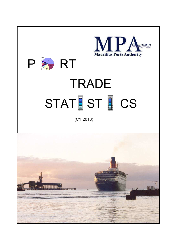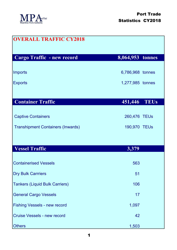

| <b>OVERALL TRAFFIC CY2018</b>            |                  |
|------------------------------------------|------------------|
| Cargo Traffic - new record               | 8,064,953 tonnes |
| Imports                                  | 6,786,968 tonnes |
| <b>Exports</b>                           | 1,277,985 tonnes |
|                                          |                  |
| <b>Container Traffic</b>                 | 451,446 TEUs     |
| <b>Captive Containers</b>                | 260,476 TEUs     |
| <b>Transhipment Containers (Inwards)</b> | 190,970 TEUs     |
|                                          |                  |
| <b>Vessel Traffic</b>                    | 3,379            |
| <b>Containerised Vessels</b>             | 563              |
| <b>Dry Bulk Carrriers</b>                | 51               |
| <b>Tankers (Liquid Bulk Carriers)</b>    | 106              |
| <b>General Cargo Vessels</b>             | 17               |
| <b>Fishing Vessels - new record</b>      | 1,097            |
| <b>Cruise Vessels - new record</b>       | 42               |
| Others                                   | 1,503            |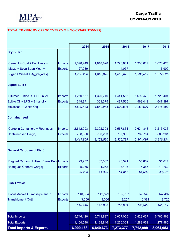

## **TOTAL TRAFFIC BY CARGO TYPE CY2014 TO CY2018 (TONNES)**

|                                            |                | 2014      | 2015        | 2016      | 2017      | 2018      |
|--------------------------------------------|----------------|-----------|-------------|-----------|-----------|-----------|
| <b>Dry Bulk:</b>                           |                |           |             |           |           |           |
| [Cement + Coal + Fertilizers +             | <b>Imports</b> | 1,678,249 | 1,818,828   | 1,796,601 | 1,900,017 | 1,670,425 |
| Maize + Soya Bean Meal +                   | <b>Exports</b> | 27,989    |             | 14,077    |           | 6,900     |
| Sugar + Wheat + Aggregates]                |                | 1,706,238 | 1,818,828   | 1,810,678 | 1,900,017 | 1,677,325 |
| <b>Liquid Bulk:</b>                        |                |           |             |           |           |           |
| [Bitumen + Black Oil + Bunker +            | <b>Imports</b> | 1,260,567 | 1,320,710   | 1,441,566 | 1,692,479 | 1,729,404 |
| Edible Oil + LPG + Ethanol +               | <b>Exports</b> | 348,871   | 361,375     | 487,525   | 568,442   | 647,397   |
| Molasses + White Oil]                      |                | 1,609,438 | 1,682,085   | 1,929,091 | 2,260,921 | 2,376,801 |
| <b>Containerised:</b>                      |                |           |             |           |           |           |
| [Cargo in Containers + Rodrigues'          | <b>Imports</b> | 2,642,993 | 2,392,393   | 2,567,831 | 2,634,343 | 3,213,033 |
| <b>Containerised Cargo]</b>                | <b>Exports</b> | 768,866   | 760,203     | 757,966   | 709,754   | 603,201   |
|                                            |                | 3,411,859 | 3, 152, 596 | 3,325,797 | 3,344,097 | 3,816,234 |
| <b>General Cargo (excl Fish):</b>          |                |           |             |           |           |           |
| [Bagged Cargo+ Unitised Break Bulk Imports |                | 23,957    | 37,067      | 48,321    | 55,652    | 31,614    |
| <b>Rodrigues General Cargo]</b>            | <b>Exports</b> | 5,266     | 4,262       | 3,496     | 5,385     | 11,762    |
|                                            |                | 29,223    | 41,329      | 51,817    | 61,037    | 43,376    |
| <b>Fish Traffic:</b>                       |                |           |             |           |           |           |
| [Local Market + Transhipment In +          | Imports        | 140,354   | 142,829     | 152,737   | 140,546   | 142,492   |
| <b>Transhipment Out]</b>                   | <b>Exports</b> | 3,056     | 3,006       | 3,257     | 6,381     | 8,725     |
|                                            |                | 143,410   | 145,835     | 155,994   | 146,927   | 151,217   |
|                                            |                |           |             |           |           |           |
| <b>Total Imports</b>                       |                | 5,746,120 | 5,711,827   | 6,007,056 | 6,423,037 | 6,786,968 |
| <b>Total Exports</b>                       |                | 1,154,048 | 1,128,846   | 1,266,321 | 1,289,962 | 1,277,985 |
| <b>Total Imports &amp; Exports</b>         |                | 6,900,168 | 6,840,673   | 7,273,377 | 7,712,999 | 8,064,953 |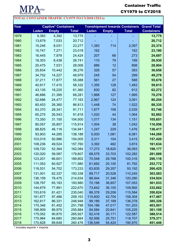

**TOTAL CONTAINER TRAFFIC CY1979 TO CY2018 (TEUs)**

## Container Traffic CY1979 to CY2018

## Year Captive\* Containers Transhipment Inwards Containers<mark> Grand Total</mark> **Laden Empty Total Laden Empty Total Containers** 1979 | 9,383 4,392 | 13,775 | - - - | - | 1<mark>3,775</mark> 1980 13,679 7,033 20,712 - - - **20,712** 1981 15,246 8,031 23,277 1,383 714 2,097 **25,374** 1982 15,747 7,271 23,018 162 162 **23,180** 1983 16,445 7,979 24,424 207 66 273 **24,697** 1984 18,303 8,438 26,741 110 79 189 **26,930** 1985 | 20,475 7,531 | 28,006 | 886 12 | 898 | **28,904** 1986 | 25,834 10,442 | 36,276 | 326 57 | 383 | 3**6,659** 1987 34,752 14,227 48,979 245 54 299 **49,278** 1988 | 37,211 17,877 | 55,088 | 561 | 27 | 588 | <mark>55,676</mark> 1989 40,917 17,415 58,332 1,355 128 1,483 **59,815** 1990 43,135 18,225 61,360 830 82 912 **62,272** 1991 46,886 21,395 68,281 1,868 127 1,995 **70,276** 1992 52,686 24,477 77,163 2,967 124 3,091 **80,254** 1993 60,453 26,360 86,813 1,448 74 1,522 **88,335** 1994 63,370 28,341 91,711 1,877 158 2,035 **93,746** 1995 65,275 26,543 91,818 1,020 44 1,064 **92,882** 1996 73,350 31,150 104,500 1,017 134 1,151 **105,651** 1997 80,057 35,857 115,914 1,004 38 1,042 **116,956** 1998 88,825 46,116 134,941 1,247 229 1,476 **136,417** 1999 93,903 44,285 138,188 5,000 1,081 6,081 **144,269** 2000 103,019 50,986 154,005 3,311 104 3,415 **157,420** 2001 108,236 49,524 157,760 3,392 482 3,874 **161,634** 2002 | 109,720 52,364 | 162,084 | 17,273 18,820 | 36,093 | **198,177** 2003 120,020 59,587 179,607 68,579 33,703 102,282 **281,889** 2004 123,201 66,601 189,802 70,548 29,768 100,316 **290,118** 2005 111,053 60,927 171,980 61,692 20,100 81,792 **253,772** 2006 118,531 54,702 173,233 63,835 29,357 93,192 **266,425** 2007 | 131,001 62,337 | 193,338 | 89,717 20,528 | 110,245 | **303,583** 2008 136,159 78,475 214,634 88,944 31,346 120,290 **334,924** 2009 128,797 65,183 193,980 70,196 36,857 107,053 **301,033** 2010 144,679 77,991 222,670 73,842 36,150 109,992 **332,662** 2011 153,619 81,421 235,040 86,378 29,206 115,584 **350,624** 2012 161,677 97,486 259,163 115,600 42,704 158,304 **417,467** 2013 162,617 86,331 248,948 99,189 37,189 136,378 **385,326** 2014 170,346 81,452 251,798 104,186 47,017 151,203 **403,001** 2015 168,909 86,975 255,884 84,584 20,641 105,225 **361,109** 2016 175,052 90,875 265,927 92,416 30,171 122,587 **388,514** 2017 175,984 84,680 260,664 92,956 25,751 118,707 **379,371** 2018 170,828 89,648 260,476 136,546 54,424 190,970 **451,446**

\* includes exports + imports